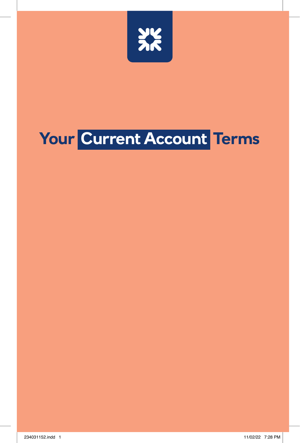

# **Your Current Account Terms**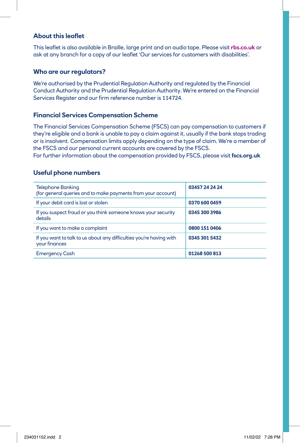# **About this leaflet**

This leaflet is also available in Braille, large print and on audio tape. Please visit **[rbs.co.uk](http://rbs.co.uk)** or ask at any branch for a copy of our leaflet 'Our services for customers with disabilities'.

# **Who are our regulators?**

We're authorised by the Prudential Regulation Authority and regulated by the Financial Conduct Authority and the Prudential Regulation Authority. We're entered on the Financial Services Register and our firm reference number is 114724.

# **Financial Services Compensation Scheme**

The Financial Services Compensation Scheme (FSCS) can pay compensation to customers if they're eligible and a bank is unable to pay a claim against it, usually if the bank stops trading or is insolvent. Compensation limits apply depending on the type of claim. We're a member of the FSCS and our personal current accounts are covered by the FSCS.

For further information about the compensation provided by FSCS, please visit **[fscs.org.uk](http://fscs.org.uk)**

## **Useful phone numbers**

| <b>Telephone Banking</b><br>(for general queries and to make payments from your account) | 03457 24 24 24 |
|------------------------------------------------------------------------------------------|----------------|
| If your debit card is lost or stolen                                                     | 0370 600 0459  |
| If you suspect fraud or you think someone knows your security<br>details                 | 0345 300 3986  |
| If you want to make a complaint                                                          | 0800 151 0406  |
| If you want to talk to us about any difficulties you're having with<br>your finances     | 0345 301 5432  |
| <b>Emergency Cash</b>                                                                    | 01268 500 813  |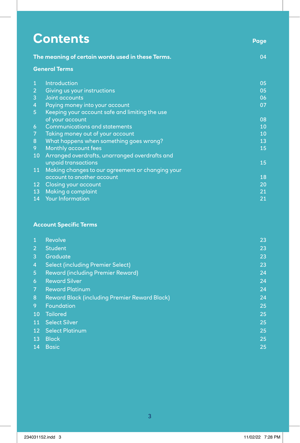| <b>Contents</b>                                   | Page                                                                                                                                                                                                                                       |
|---------------------------------------------------|--------------------------------------------------------------------------------------------------------------------------------------------------------------------------------------------------------------------------------------------|
| The meaning of certain words used in these Terms. | 04                                                                                                                                                                                                                                         |
| <b>General Terms</b>                              |                                                                                                                                                                                                                                            |
| Introduction                                      | 05                                                                                                                                                                                                                                         |
| Giving us your instructions                       | 05                                                                                                                                                                                                                                         |
| Joint accounts                                    | 06                                                                                                                                                                                                                                         |
| Paying money into your account                    | 07                                                                                                                                                                                                                                         |
| Keeping your account safe and limiting the use    |                                                                                                                                                                                                                                            |
| of your account                                   | 08                                                                                                                                                                                                                                         |
| <b>Communications and statements</b>              | 10                                                                                                                                                                                                                                         |
| Taking money out of your account                  | 10                                                                                                                                                                                                                                         |
|                                                   | 13                                                                                                                                                                                                                                         |
|                                                   | 15                                                                                                                                                                                                                                         |
| Arranged overdrafts, unarranged overdrafts and    |                                                                                                                                                                                                                                            |
|                                                   | 15                                                                                                                                                                                                                                         |
|                                                   |                                                                                                                                                                                                                                            |
|                                                   | 18                                                                                                                                                                                                                                         |
|                                                   | 20                                                                                                                                                                                                                                         |
|                                                   | 21                                                                                                                                                                                                                                         |
|                                                   | 21                                                                                                                                                                                                                                         |
| 14 <sup>°</sup>                                   | What happens when something goes wrong?<br>Monthly account fees<br>unpaid transactions<br>Making changes to our agreement or changing your<br>account to another account<br>Closing your account<br>Making a complaint<br>Your Information |

# **Account Specific Terms**

| $\mathbf{1}$   | Revolve                                              | 23 |
|----------------|------------------------------------------------------|----|
| 2              | <b>Student</b>                                       | 23 |
| 3              | Graduate                                             | 23 |
| $\overline{4}$ | <b>Select (including Premier Select)</b>             | 23 |
| 5              | <b>Reward (including Premier Reward)</b>             | 24 |
| 6              | <b>Reward Silver</b>                                 | 24 |
| $\overline{7}$ | <b>Reward Platinum</b>                               | 24 |
| 8              | <b>Reward Black (including Premier Reward Black)</b> | 24 |
| 9              | Foundation                                           | 25 |
| 10             | <b>Tailored</b>                                      | 25 |
| <b>11</b>      | <b>Select Silver</b>                                 | 25 |
| 12             | <b>Select Platinum</b>                               | 25 |
| 13             | <b>Black</b>                                         | 25 |
| 14             | <b>Basic</b>                                         | 25 |
|                |                                                      |    |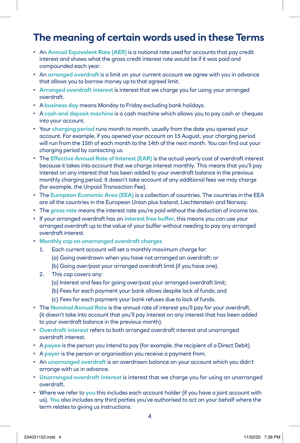# **The meaning of certain words used in these Terms**

- An **Annual Equivalent Rate (AER)** is a notional rate used for accounts that pay credit interest and shows what the gross credit interest rate would be if it was paid and compounded each year.
- An **arranged overdraft** is a limit on your current account we agree with you in advance that allows you to borrow money up to that agreed limit.
- **Arranged overdraft interest** is interest that we charge you for using your arranged overdraft.
- A **business day** means Monday to Friday excluding bank holidays.
- A **cash and deposit machine** is a cash machine which allows you to pay cash or cheques into your account.
- Your **charging period** runs month to month, usually from the date you opened your account. For example, if you opened your account on 15 August, your charging period will run from the 15th of each month to the 14th of the next month. You can find out your charging period by contacting us.
- The **Effective Annual Rate of Interest (EAR)** is the actual yearly cost of overdraft interest because it takes into account that we charge interest monthly. This means that you'll pay interest on any interest that has been added to your overdraft balance in the previous monthly charging period. It doesn't take account of any additional fees we may charge (for example, the Unpaid Transaction Fee).
- The **European Economic Area (EEA)** is a collection of countries. The countries in the EEA are all the countries in the European Union plus Iceland, Liechtenstein and Norway.
- The **gross rate** means the interest rate you're paid without the deduction of income tax.
- If your arranged overdraft has an **interest free buffer**, this means you can use your arranged overdraft up to the value of your buffer without needing to pay any arranged overdraft interest.
- **Monthly cap on unarranged overdraft charges**
	- 1. Each current account will set a monthly maximum charge for:
		- (a) Going overdrawn when you have not arranged an overdraft; or
		- (b) Going over/past your arranged overdraft limit (if you have one).
	- 2. This cap covers any:
		- (a) Interest and fees for going over/past your arranged overdraft limit;
		- (b) Fees for each payment your bank allows despite lack of funds; and
		- (c) Fees for each payment your bank refuses due to lack of funds.
- The **Nominal Annual Rate** is the annual rate of interest you'll pay for your overdraft, (it doesn't take into account that you'll pay interest on any interest that has been added to your overdraft balance in the previous month).
- **Overdraft interest** refers to both arranged overdraft interest and unarranged overdraft interest.
- A **payee** is the person you intend to pay (for example, the recipient of a Direct Debit).
- A **payer** is the person or organisation you receive a payment from.
- An **unarranged overdraft** is an overdrawn balance on your account which you didn't arrange with us in advance.
- **Unarranged overdraft interest** is interest that we charge you for using an unarranged overdraft.
- Where we refer to **you** this includes each account holder (if you have a joint account with us). **You** also includes any third parties you've authorised to act on your behalf where the term relates to giving us instructions.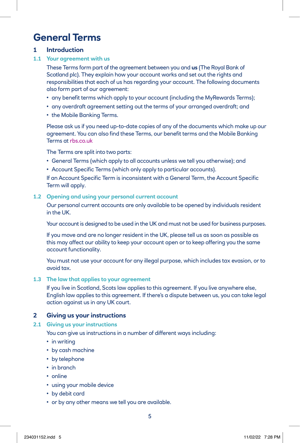# **General Terms**

# **1 Introduction**

#### **1.1 Your agreement with us**

 These Terms form part of the agreement between you and **us** (The Royal Bank of Scotland plc). They explain how your account works and set out the rights and responsibilities that each of us has regarding your account. The following documents also form part of our agreement:

- any benefit terms which apply to your account (including the MyRewards Terms);
- any overdraft agreement setting out the terms of your arranged overdraft; and
- the Mobile Banking Terms.

 Please ask us if you need up-to-date copies of any of the documents which make up our agreement. You can also find these Terms, our benefit terms and the Mobile Banking Terms at [rbs.co.uk](http://rbs.co.uk)

The Terms are split into two parts:

- General Terms (which apply to all accounts unless we tell you otherwise); and
- Account Specific Terms (which only apply to particular accounts).

 If an Account Specific Term is inconsistent with a General Term, the Account Specific Term will apply.

#### **1.2 Opening and using your personal current account**

 Our personal current accounts are only available to be opened by individuals resident in the UK.

Your account is designed to be used in the UK and must not be used for business purposes.

 If you move and are no longer resident in the UK, please tell us as soon as possible as this may affect our ability to keep your account open or to keep offering you the same account functionality.

 You must not use your account for any illegal purpose, which includes tax evasion, or to avoid tax.

#### **1.3 The law that applies to your agreement**

If you live in Scotland, Scots law applies to this agreement. If you live anywhere else, English law applies to this agreement. If there's a dispute between us, you can take legal action against us in any UK court.

# **2 Giving us your instructions**

#### **2.1 Giving us your instructions**

You can give us instructions in a number of different ways including:

- in writing
- by cash machine
- by telephone
- in branch
- online
- using your mobile device
- by debit card
- or by any other means we tell you are available.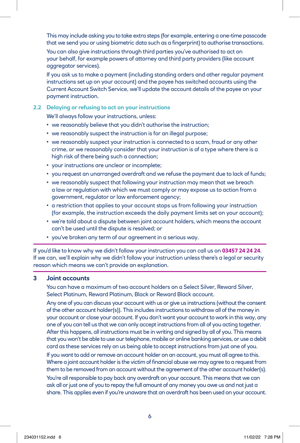This may include asking you to take extra steps (for example, entering a one-time passcode that we send you or using biometric data such as a fingerprint) to authorise transactions.

 You can also give instructions through third parties you've authorised to act on your behalf, for example powers of attorney and third party providers (like account aggregator services).

 If you ask us to make a payment (including standing orders and other regular payment instructions set up on your account) and the payee has switched accounts using the Current Account Switch Service, we'll update the account details of the payee on your payment instruction.

#### **2.2 Delaying or refusing to act on your instructions**

We'll always follow your instructions, unless:

- we reasonably believe that you didn't authorise the instruction;
- we reasonably suspect the instruction is for an illegal purpose;
- we reasonably suspect your instruction is connected to a scam, fraud or any other crime, or we reasonably consider that your instruction is of a type where there is a high risk of there being such a connection;
- your instructions are unclear or incomplete;
- you request an unarranged overdraft and we refuse the payment due to lack of funds;
- we reasonably suspect that following your instruction may mean that we breach a law or regulation with which we must comply or may expose us to action from a government, regulator or law enforcement agency;
- a restriction that applies to your account stops us from following your instruction (for example, the instruction exceeds the daily payment limits set on your account);
- we're told about a dispute between joint account holders, which means the account can't be used until the dispute is resolved; or
- you've broken any term of our agreement in a serious way.

If you'd like to know why we didn't follow your instruction you can call us on **03457 24 24 24**. If we can, we'll explain why we didn't follow your instruction unless there's a legal or security reason which means we can't provide an explanation.

#### **3 Joint accounts**

 You can have a maximum of two account holders on a Select Silver, Reward Silver, Select Platinum, Reward Platinum, Black or Reward Black account.

 Any one of you can discuss your account with us or give us instructions (without the consent of the other account holder(s)). This includes instructions to withdraw all of the money in your account or close your account. If you don't want your account to work in this way, any one of you can tell us that we can only accept instructions from all of you acting together. After this happens, all instructions must be in writing and signed by all of you. This means that you won't be able to use our telephone, mobile or online banking services, or use a debit card as these services rely on us being able to accept instructions from just one of you.

 If you want to add or remove an account holder on an account, you must all agree to this. Where a joint account holder is the victim of financial abuse we may agree to a request from them to be removed from an account without the agreement of the other account holder(s).

 You're all responsible to pay back any overdraft on your account. This means that we can ask all or just one of you to repay the full amount of any money you owe us and not just a share. This applies even if you're unaware that an overdraft has been used on your account.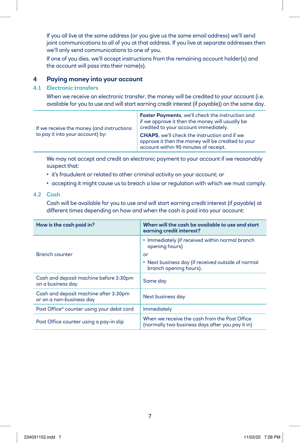If you all live at the same address (or you give us the same email address) we'll send joint communications to all of you at that address. If you live at separate addresses then we'll only send communications to one of you.

 If one of you dies, we'll accept instructions from the remaining account holder(s) and the account will pass into their name(s).

# **4 Paying money into your account**

#### **4.1 Electronic transfers**

 When we receive an electronic transfer, the money will be credited to your account (i.e. available for you to use and will start earning credit interest (if payable)) on the same day.

| If we receive the money (and instructions<br>to pay it into your account) by: | <b>Faster Payments, we'll check the instruction and</b><br>if we approve it then the money will usually be<br>credited to your account immediately. |  |
|-------------------------------------------------------------------------------|-----------------------------------------------------------------------------------------------------------------------------------------------------|--|
|                                                                               | <b>CHAPS</b> , we'll check the instruction and if we<br>approve it then the money will be credited to your<br>account within 90 minutes of receipt. |  |

 We may not accept and credit an electronic payment to your account if we reasonably suspect that:

- it's fraudulent or related to other criminal activity on your account; or
- accepting it might cause us to breach a law or regulation with which we must comply.

#### **4.2 Cash**

 Cash will be available for you to use and will start earning credit interest (if payable) at different times depending on how and when the cash is paid into your account:

| How is the cash paid in?                                          | When will the cash be available to use and start<br>earning credit interest?                      |  |
|-------------------------------------------------------------------|---------------------------------------------------------------------------------------------------|--|
|                                                                   | • Immediately (if received within normal branch<br>opening hours)                                 |  |
| <b>Branch counter</b>                                             | or                                                                                                |  |
|                                                                   | • Next business day (if received outside of normal<br>branch opening hours).                      |  |
| Cash and deposit machine before 3:30pm<br>on a business day       | Same day                                                                                          |  |
| Cash and deposit machine after 3:30pm<br>or on a non-business day | Next business day                                                                                 |  |
| Post Office® counter using your debit card                        | Immediately                                                                                       |  |
| Post Office counter using a pay-in slip                           | When we receive the cash from the Post Office<br>(normally two business days after you pay it in) |  |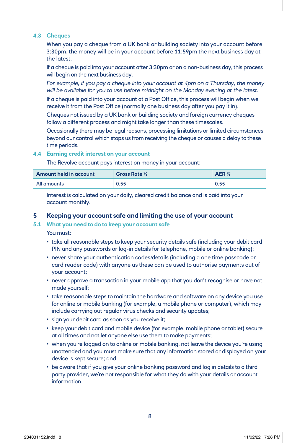#### **4.3 Cheques**

 When you pay a cheque from a UK bank or building society into your account before 3:30pm, the money will be in your account before 11:59pm the next business day at the latest.

 If a cheque is paid into your account after 3:30pm or on a non-business day, this process will begin on the next business day.

 *For example, if you pay a cheque into your account at 4pm on a Thursday, the money will be available for you to use before midnight on the Monday evening at the latest.*

 If a cheque is paid into your account at a Post Office, this process will begin when we receive it from the Post Office (normally one business day after you pay it in).

 Cheques not issued by a UK bank or building society and foreign currency cheques follow a different process and might take longer than these timescales.

 Occasionally there may be legal reasons, processing limitations or limited circumstances beyond our control which stops us from receiving the cheque or causes a delay to these time periods.

#### **4.4 Earning credit interest on your account**

The Revolve account pays interest on money in your account:

| Amount held in account | <b>Gross Rate %</b> | AER <sup>%</sup> |
|------------------------|---------------------|------------------|
| All amounts            | 0.55                | 0.55             |

 Interest is calculated on your daily, cleared credit balance and is paid into your account monthly.

#### **5 Keeping your account safe and limiting the use of your account**

#### **5.1 What you need to do to keep your account safe**

You must:

- take all reasonable steps to keep your security details safe (including your debit card PIN and any passwords or log-in details for telephone, mobile or online banking);
- never share your authentication codes/details (including a one time passcode or card reader code) with anyone as these can be used to authorise payments out of your account;
- never approve a transaction in your mobile app that you don't recognise or have not made yourself;
- take reasonable steps to maintain the hardware and software on any device you use for online or mobile banking (for example, a mobile phone or computer), which may include carrying out regular virus checks and security updates;
- sign your debit card as soon as you receive it;
- keep your debit card and mobile device (for example, mobile phone or tablet) secure at all times and not let anyone else use them to make payments;
- when you're logged on to online or mobile banking, not leave the device you're using unattended and you must make sure that any information stored or displayed on your device is kept secure; and
- be aware that if you give your online banking password and log in details to a third party provider, we're not responsible for what they do with your details or account information.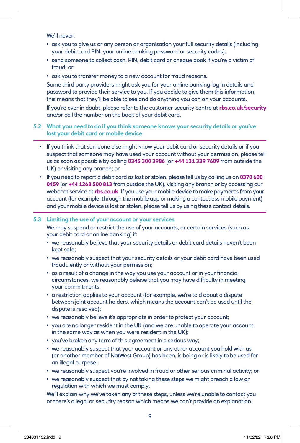We'll never:

- ask you to give us or any person or organisation your full security details (including your debit card PIN, your online banking password or security codes);
- send someone to collect cash, PIN, debit card or cheque book if you're a victim of fraud; or
- ask you to transfer money to a new account for fraud reasons.

 Some third party providers might ask you for your online banking log in details and password to provide their service to you. If you decide to give them this information, this means that they'll be able to see and do anything you can on your accounts.

 If you're ever in doubt, please refer to the customer security centre at **[rbs.co.uk/security](http://rbs.co.uk/security)** and/or call the number on the back of your debit card.

#### **5.2 What you need to do if you think someone knows your security details or you've lost your debit card or mobile device**

- If you think that someone else might know your debit card or security details or if you suspect that someone may have used your account without your permission, please tell us as soon as possible by calling **0345 300 3986** (or **+44 131 339 7609** from outside the UK) or visiting any branch; or
- If you need to report a debit card as lost or stolen, please tell us by calling us on **0370 600 0459** (or **+44 1268 500 813** from outside the UK), visiting any branch or by accessing our webchat service at **[rbs.co.uk](http://rbs.co.uk)**. If you use your mobile device to make payments from your account (for example, through the mobile app or making a contactless mobile payment) and your mobile device is lost or stolen, please tell us by using these contact details.

#### **5.3 Limiting the use of your account or your services**

 We may suspend or restrict the use of your accounts, or certain services (such as your debit card or online banking) if:

- we reasonably believe that your security details or debit card details haven't been kept safe;
- we reasonably suspect that your security details or your debit card have been used fraudulently or without your permission;
- as a result of a change in the way you use your account or in your financial circumstances, we reasonably believe that you may have difficulty in meeting your commitments;
- a restriction applies to your account (for example, we're told about a dispute between joint account holders, which means the account can't be used until the dispute is resolved);
- we reasonably believe it's appropriate in order to protect your account;
- you are no longer resident in the UK (and we are unable to operate your account in the same way as when you were resident in the UK);
- you've broken any term of this agreement in a serious way;
- we reasonably suspect that your account or any other account you hold with us (or another member of NatWest Group) has been, is being or is likely to be used for an illegal purpose;
- we reasonably suspect you're involved in fraud or other serious criminal activity; or
- we reasonably suspect that by not taking these steps we might breach a law or regulation with which we must comply.

 We'll explain why we've taken any of these steps, unless we're unable to contact you or there's a legal or security reason which means we can't provide an explanation.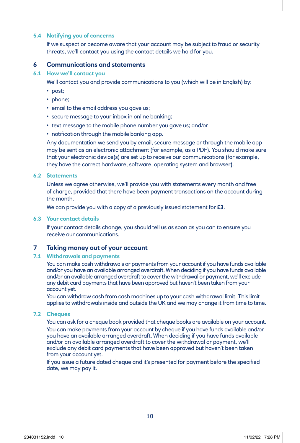# **5.4 Notifying you of concerns**

 If we suspect or become aware that your account may be subject to fraud or security threats, we'll contact you using the contact details we hold for you.

#### **6 Communications and statements**

#### **6.1 How we'll contact you**

We'll contact you and provide communications to you (which will be in English) by:

- post;
- phone;
- email to the email address you gave us;
- secure message to your inbox in online banking;
- text message to the mobile phone number you gave us; and/or
- notification through the mobile banking app.

 Any documentation we send you by email, secure message or through the mobile app may be sent as an electronic attachment (for example, as a PDF). You should make sure that your electronic device(s) are set up to receive our communications (for example, they have the correct hardware, software, operating system and browser).

#### **6.2 Statements**

 Unless we agree otherwise, we'll provide you with statements every month and free of charge, provided that there have been payment transactions on the account during the month.

We can provide you with a copy of a previously issued statement for **£3**.

#### **6.3 Your contact details**

 If your contact details change, you should tell us as soon as you can to ensure you receive our communications.

#### **7 Taking money out of your account**

#### **7.1 Withdrawals and payments**

 You can make cash withdrawals or payments from your account if you have funds available and/or you have an available arranged overdraft. When deciding if you have funds available and/or an available arranged overdraft to cover the withdrawal or payment, we'll exclude any debit card payments that have been approved but haven't been taken from your account yet.

 You can withdraw cash from cash machines up to your cash withdrawal limit. This limit applies to withdrawals inside and outside the UK and we may change it from time to time.

#### **7.2 Cheques**

 You can ask for a cheque book provided that cheque books are available on your account. You can make payments from your account by cheque if you have funds available and/or you have an available arranged overdraft. When deciding if you have funds available and/or an available arranged overdraft to cover the withdrawal or payment, we'll exclude any debit card payments that have been approved but haven't been taken from your account yet.

 If you issue a future dated cheque and it's presented for payment before the specified date, we may pay it.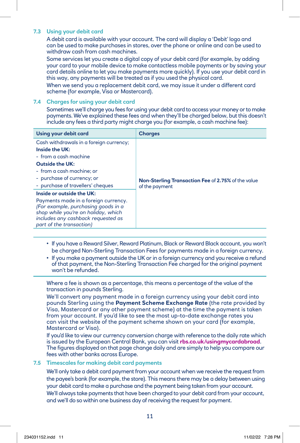#### **7.3 Using your debit card**

 A debit card is available with your account. The card will display a 'Debit' logo and can be used to make purchases in stores, over the phone or online and can be used to withdraw cash from cash machines.

 Some services let you create a digital copy of your debit card (for example, by adding your card to your mobile device to make contactless mobile payments or by saving your card details online to let you make payments more quickly). If you use your debit card in this way, any payments will be treated as if you used the physical card.

 When we send you a replacement debit card, we may issue it under a different card scheme (for example, Visa or Mastercard).

#### **7.4 Charges for using your debit card**

 Sometimes we'll charge you fees for using your debit card to access your money or to make payments. We've explained these fees and when they'll be charged below, but this doesn't include any fees a third party might charge you (for example, a cash machine fee):

| <b>Charges</b>                                            |
|-----------------------------------------------------------|
|                                                           |
|                                                           |
|                                                           |
|                                                           |
|                                                           |
| <b>Non-Sterling Transaction Fee of 2.75% of the value</b> |
| of the payment                                            |
|                                                           |
|                                                           |
|                                                           |
|                                                           |
|                                                           |
|                                                           |

- If you have a Reward Silver, Reward Platinum, Black or Reward Black account, you won't be charged Non-Sterling Transaction Fees for payments made in a foreign currency.
- If you make a payment outside the UK or in a foreign currency and you receive a refund of that payment, the Non-Sterling Transaction Fee charged for the original payment won't be refunded.

 Where a fee is shown as a percentage, this means a percentage of the value of the transaction in pounds Sterling.

 We'll convert any payment made in a foreign currency using your debit card into pounds Sterling using the **Payment Scheme Exchange Rate** (the rate provided by Visa, Mastercard or any other payment scheme) at the time the payment is taken from your account. If you'd like to see the most up-to-date exchange rates you can visit the website of the payment scheme shown on your card (for example, Mastercard or Visa).

 If you'd like to view our currency conversion charge with reference to the daily rate which is issued by the European Central Bank, you can visit **[rbs.co.uk/usingmycardabroad](http://rbs.co.uk/usingmycardabroad)**. The figures displayed on that page change daily and are simply to help you compare our fees with other banks across Europe.

#### **7.5 Timescales for making debit card payments**

 We'll only take a debit card payment from your account when we receive the request from the payee's bank (for example, the store). This means there may be a delay between using your debit card to make a purchase and the payment being taken from your account. We'll always take payments that have been charged to your debit card from your account, and we'll do so within one business day of receiving the request for payment.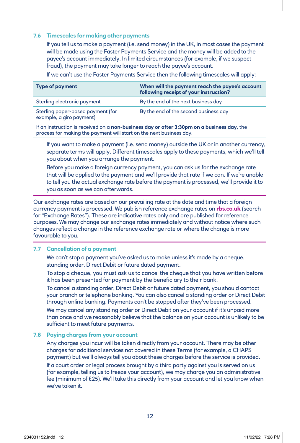#### **7.6 Timescales for making other payments**

 If you tell us to make a payment (i.e. send money) in the UK, in most cases the payment will be made using the Faster Payments Service and the money will be added to the payee's account immediately. In limited circumstances (for example, if we suspect fraud), the payment may take longer to reach the payee's account.

If we can't use the Faster Payments Service then the following timescales will apply:

| <b>Type of payment</b>                                        | When will the payment reach the payee's account<br>following receipt of your instruction? |
|---------------------------------------------------------------|-------------------------------------------------------------------------------------------|
| Sterling electronic payment                                   | By the end of the next business day                                                       |
| Sterling paper-based payment (for<br>example, a giro payment) | By the end of the second business day                                                     |

If an instruction is received on a **non-business day or after 3:30pm on a business day**, the process for making the payment will start on the next business day.

 If you want to make a payment (i.e. send money) outside the UK or in another currency, separate terms will apply. Different timescales apply to these payments, which we'll tell you about when you arrange the payment.

 Before you make a foreign currency payment, you can ask us for the exchange rate that will be applied to the payment and we'll provide that rate if we can. If we're unable to tell you the actual exchange rate before the payment is processed, we'll provide it to you as soon as we can afterwards.

Our exchange rates are based on our prevailing rate at the date and time that a foreign currency payment is processed. We publish reference exchange rates on **[rbs.co.uk](http://rbs.co.uk)** (search for "Exchange Rates"). These are indicative rates only and are published for reference purposes. We may change our exchange rates immediately and without notice where such changes reflect a change in the reference exchange rate or where the change is more favourable to you.

#### **7.7 Cancellation of a payment**

We can't stop a payment you've asked us to make unless it's made by a cheque, standing order, Direct Debit or future dated payment.

 To stop a cheque, you must ask us to cancel the cheque that you have written before it has been presented for payment by the beneficiary to their bank.

 To cancel a standing order, Direct Debit or future dated payment, you should contact your branch or telephone banking. You can also cancel a standing order or Direct Debit through online banking. Payments can't be stopped after they've been processed.

 We may cancel any standing order or Direct Debit on your account if it's unpaid more than once and we reasonably believe that the balance on your account is unlikely to be sufficient to meet future payments.

## **7.8 Paying charges from your account**

 Any charges you incur will be taken directly from your account. There may be other charges for additional services not covered in these Terms (for example, a CHAPS payment) but we'll always tell you about these charges before the service is provided. If a court order or legal process brought by a third party against you is served on us (for example, telling us to freeze your account), we may charge you an administrative fee (minimum of £25). We'll take this directly from your account and let you know when we've taken it.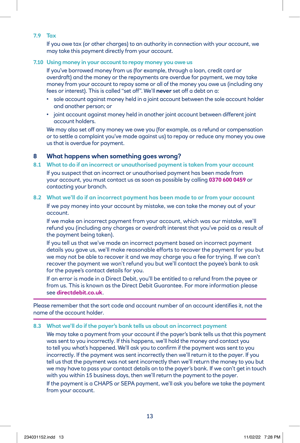#### **7.9 Tax**

 If you owe tax (or other charges) to an authority in connection with your account, we may take this payment directly from your account.

#### **7.10 Using money in your account to repay money you owe us**

 If you've borrowed money from us (for example, through a loan, credit card or overdraft) and the money or the repayments are overdue for payment, we may take money from your account to repay some or all of the money you owe us (including any fees or interest). This is called "set off". We'll **never** set off a debt on a:

- sole account against money held in a joint account between the sole account holder and another person; or
- joint account against money held in another joint account between different joint account holders.

 We may also set off any money we owe you (for example, as a refund or compensation or to settle a complaint you've made against us) to repay or reduce any money you owe us that is overdue for payment.

#### **8 What happens when something goes wrong?**

- **8.1 What to do if an incorrect or unauthorised payment is taken from your account** If you suspect that an incorrect or unauthorised payment has been made from your account, you must contact us as soon as possible by calling **0370 600 0459** or contacting your branch.
- **8.2 What we'll do if an incorrect payment has been made to or from your account**  If we pay money into your account by mistake, we can take the money out of your account.

 If we make an incorrect payment from your account, which was our mistake, we'll refund you (including any charges or overdraft interest that you've paid as a result of the payment being taken).

 If you tell us that we've made an incorrect payment based on incorrect payment details you gave us, we'll make reasonable efforts to recover the payment for you but we may not be able to recover it and we may charge you a fee for trying. If we can't recover the payment we won't refund you but we'll contact the payee's bank to ask for the payee's contact details for you.

 If an error is made in a Direct Debit, you'll be entitled to a refund from the payee or from us. This is known as the Direct Debit Guarantee. For more information please see **[directdebit.co.uk](http://directdebit.co.uk)**.

Please remember that the sort code and account number of an account identifies it, not the name of the account holder.

#### **8.3 What we'll do if the payer's bank tells us about an incorrect payment**

 We may take a payment from your account if the payer's bank tells us that this payment was sent to you incorrectly. If this happens, we'll hold the money and contact you to tell you what's happened. We'll ask you to confirm if the payment was sent to you incorrectly. If the payment was sent incorrectly then we'll return it to the payer. If you tell us that the payment was not sent incorrectly then we'll return the money to you but we may have to pass your contact details on to the payer's bank. If we can't get in touch with you within 15 business days, then we'll return the payment to the payer. If the payment is a CHAPS or SEPA payment, we'll ask you before we take the payment from your account.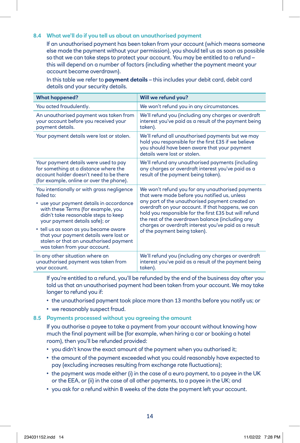#### **8.4 What we'll do if you tell us about an unauthorised payment**

 If an unauthorised payment has been taken from your account (which means someone else made the payment without your permission), you should tell us as soon as possible so that we can take steps to protect your account. You may be entitled to a refund – this will depend on a number of factors (including whether the payment meant your account became overdrawn).

 In this table we refer to **payment details** – this includes your debit card, debit card details and your security details.

| <b>What happened?</b>                                                                                                                                                                                                                                                                                                                                                             | Will we refund you?                                                                                                                                                                                                                                                                                                                                                                                                |
|-----------------------------------------------------------------------------------------------------------------------------------------------------------------------------------------------------------------------------------------------------------------------------------------------------------------------------------------------------------------------------------|--------------------------------------------------------------------------------------------------------------------------------------------------------------------------------------------------------------------------------------------------------------------------------------------------------------------------------------------------------------------------------------------------------------------|
| You acted fraudulently.                                                                                                                                                                                                                                                                                                                                                           | We won't refund you in any circumstances.                                                                                                                                                                                                                                                                                                                                                                          |
| An unauthorised payment was taken from<br>your account before you received your<br>payment details.                                                                                                                                                                                                                                                                               | We'll refund you (including any charges or overdraft<br>interest you've paid as a result of the payment being<br>taken).                                                                                                                                                                                                                                                                                           |
| Your payment details were lost or stolen.                                                                                                                                                                                                                                                                                                                                         | We'll refund all unauthorised payments but we may<br>hold you responsible for the first £35 if we believe<br>you should have been aware that your payment<br>details were lost or stolen.                                                                                                                                                                                                                          |
| Your payment details were used to pay<br>for something at a distance where the<br>account holder doesn't need to be there<br>(for example, online or over the phone).                                                                                                                                                                                                             | We'll refund any unauthorised payments (including<br>any charges or overdraft interest you've paid as a<br>result of the payment being taken).                                                                                                                                                                                                                                                                     |
| You intentionally or with gross negligence<br>failed to:<br>• use your payment details in accordance<br>with these Terms (for example, you<br>didn't take reasonable steps to keep<br>your payment details safe); or<br>• tell us as soon as you became aware<br>that your payment details were lost or<br>stolen or that an unauthorised payment<br>was taken from your account. | We won't refund you for any unauthorised payments<br>that were made before you notified us, unless<br>any part of the unauthorised payment created an<br>overdraft on your account. If that happens, we can<br>hold you responsible for the first £35 but will refund<br>the rest of the overdrawn balance (including any<br>charges or overdraft interest you've paid as a result<br>of the payment being taken). |
| In any other situation where an<br>unauthorised payment was taken from<br>your account.                                                                                                                                                                                                                                                                                           | We'll refund you (including any charges or overdraft<br>interest you've paid as a result of the payment being<br>taken).                                                                                                                                                                                                                                                                                           |

 If you're entitled to a refund, you'll be refunded by the end of the business day after you told us that an unauthorised payment had been taken from your account. We may take longer to refund you if:

- the unauthorised payment took place more than 13 months before you notify us; or
- we reasonably suspect fraud.

## **8.5 Payments processed without you agreeing the amount**

 If you authorise a payee to take a payment from your account without knowing how much the final payment will be (for example, when hiring a car or booking a hotel room), then you'll be refunded provided:

- you didn't know the exact amount of the payment when you authorised it;
- the amount of the payment exceeded what you could reasonably have expected to pay (excluding increases resulting from exchange rate fluctuations);
- the payment was made either (i) in the case of a euro payment, to a payee in the UK or the EEA, or (ii) in the case of all other payments, to a payee in the UK; and
- you ask for a refund within 8 weeks of the date the payment left your account.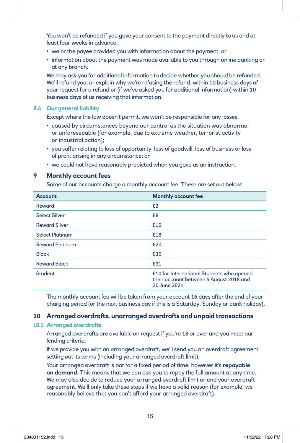You won't be refunded if you gave your consent to the payment directly to us and at least four weeks in advance:

- we or the payee provided you with information about the payment; or
- information about the payment was made available to you through online banking or at any branch.

 We may ask you for additional information to decide whether you should be refunded. We'll refund you, or explain why we're refusing the refund, within 10 business days of your request for a refund or (if we've asked you for additional information) within 10 business days of us receiving that information.

#### **8.6 Our general liability**

Except where the law doesn't permit, we won't be responsible for any losses:

- caused by circumstances beyond our control as the situation was abnormal or unforeseeable (for example, due to extreme weather, terrorist activity or industrial action);
- you suffer relating to loss of opportunity, loss of goodwill, loss of business or loss of profit arising in any circumstance; or
- we could not have reasonably predicted when you gave us an instruction.

#### **9 Monthly account fees**

Some of our accounts charge a monthly account fee. These are set out below:

| <b>Account</b>         | <b>Monthly account fee</b>                                                                           |
|------------------------|------------------------------------------------------------------------------------------------------|
| Reward                 | E2                                                                                                   |
| <b>Select Silver</b>   | £8                                                                                                   |
| <b>Reward Silver</b>   | £10                                                                                                  |
| <b>Select Platinum</b> | £18                                                                                                  |
| <b>Reward Platinum</b> | £20                                                                                                  |
| <b>Black</b>           | £30                                                                                                  |
| <b>Reward Black</b>    | £31                                                                                                  |
| <b>Student</b>         | £10 for International Students who opened<br>their account between 5 August 2018 and<br>20 June 2021 |

 The monthly account fee will be taken from your account 16 days after the end of your charging period (or the next business day if this is a Saturday, Sunday or bank holiday).

#### **10 Arranged overdrafts, unarranged overdrafts and unpaid transactions**

#### **10.1 Arranged overdrafts**

 Arranged overdrafts are available on request if you're 18 or over and you meet our lending criteria.

 If we provide you with an arranged overdraft, we'll send you an overdraft agreement setting out its terms (including your arranged overdraft limit).

 Your arranged overdraft is not for a fixed period of time, however it's **repayable on demand**. This means that we can ask you to repay the full amount at any time. We may also decide to reduce your arranged overdraft limit or end your overdraft agreement. We'll only take these steps if we have a valid reason (for example, we reasonably believe that you can't afford your arranged overdraft).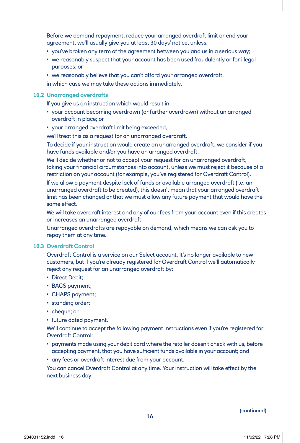Before we demand repayment, reduce your arranged overdraft limit or end your agreement, we'll usually give you at least 30 days' notice, unless:

- you've broken any term of the agreement between you and us in a serious way;
- we reasonably suspect that your account has been used fraudulently or for illegal purposes; or
- we reasonably believe that you can't afford your arranged overdraft,

in which case we may take these actions immediately.

#### **10.2 Unarranged overdrafts**

If you give us an instruction which would result in:

- your account becoming overdrawn (or further overdrawn) without an arranged overdraft in place; or
- your arranged overdraft limit being exceeded,

we'll treat this as a request for an unarranged overdraft.

 To decide if your instruction would create an unarranged overdraft, we consider if you have funds available and/or you have an arranged overdraft.

 We'll decide whether or not to accept your request for an unarranged overdraft, taking your financial circumstances into account, unless we must reject it because of a restriction on your account (for example, you've registered for Overdraft Control).

 If we allow a payment despite lack of funds or available arranged overdraft (i.e. an unarranged overdraft to be created), this doesn't mean that your arranged overdraft limit has been changed or that we must allow any future payment that would have the same effect.

 We will take overdraft interest and any of our fees from your account even if this creates or increases an unarranged overdraft.

 Unarranged overdrafts are repayable on demand, which means we can ask you to repay them at any time.

#### **10.3 Overdraft Control**

 Overdraft Control is a service on our Select account. It's no longer available to new customers, but if you're already registered for Overdraft Control we'll automatically reject any request for an unarranged overdraft by:

- Direct Debit;
- BACS payment;
- CHAPS payment;
- standing order;
- cheque; or
- future dated payment.

 We'll continue to accept the following payment instructions even if you're registered for Overdraft Control:

- payments made using your debit card where the retailer doesn't check with us, before accepting payment, that you have sufficient funds available in your account; and
- any fees or overdraft interest due from your account.

 You can cancel Overdraft Control at any time. Your instruction will take effect by the next business day.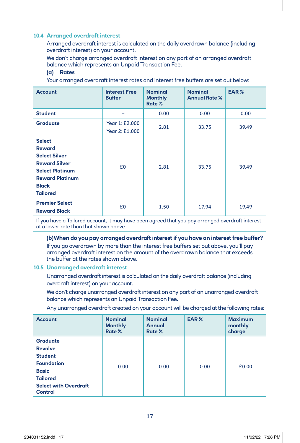#### **10.4 Arranged overdraft interest**

 Arranged overdraft interest is calculated on the daily overdrawn balance (including overdraft interest) on your account.

 We don't charge arranged overdraft interest on any part of an arranged overdraft balance which represents an Unpaid Transaction Fee.

#### **(a) Rates**

Your arranged overdraft interest rates and interest free buffers are set out below:

| <b>Account</b>                                                                                                                                                        | <b>Interest Free</b><br><b>Buffer</b> | <b>Nominal</b><br><b>Monthly</b><br>Rate % | <b>Nominal</b><br><b>Annual Rate %</b> | EAR%  |
|-----------------------------------------------------------------------------------------------------------------------------------------------------------------------|---------------------------------------|--------------------------------------------|----------------------------------------|-------|
| <b>Student</b>                                                                                                                                                        |                                       | 0.00                                       | 0.00                                   | 0.00  |
| <b>Graduate</b>                                                                                                                                                       | Year 1: £2,000<br>Year 2: £1,000      | 2.81                                       | 33.75                                  | 39.49 |
| <b>Select</b><br><b>Reward</b><br><b>Select Silver</b><br><b>Reward Silver</b><br><b>Select Platinum</b><br><b>Reward Platinum</b><br><b>Black</b><br><b>Tailored</b> | £0                                    | 2.81                                       | 33.75                                  | 39.49 |
| <b>Premier Select</b><br><b>Reward Black</b>                                                                                                                          | £0                                    | 1.50                                       | 17.94                                  | 19.49 |

If you have a Tailored account, it may have been agreed that you pay arranged overdraft interest at a lower rate than that shown above.

#### **(b)When do you pay arranged overdraft interest if you have an interest free buffer?**

 If you go overdrawn by more than the interest free buffers set out above, you'll pay arranged overdraft interest on the amount of the overdrawn balance that exceeds the buffer at the rates shown above.

#### **10.5 Unarranged overdraft interest**

 Unarranged overdraft interest is calculated on the daily overdraft balance (including overdraft interest) on your account.

 We don't charge unarranged overdraft interest on any part of an unarranged overdraft balance which represents an Unpaid Transaction Fee.

Any unarranged overdraft created on your account will be charged at the following rates:

| <b>Account</b>                                                                                                                                                | <b>Nominal</b><br><b>Monthly</b><br>Rate % | <b>Nominal</b><br><b>Annual</b><br>Rate % | EAR% | <b>Maximum</b><br>monthly<br>charge |
|---------------------------------------------------------------------------------------------------------------------------------------------------------------|--------------------------------------------|-------------------------------------------|------|-------------------------------------|
| <b>Graduate</b><br><b>Revolve</b><br><b>Student</b><br><b>Foundation</b><br><b>Basic</b><br><b>Tailored</b><br><b>Select with Overdraft</b><br><b>Control</b> | 0.00                                       | 0.00                                      | 0.00 | £0.00                               |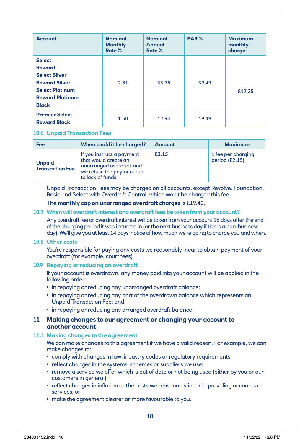| <b>Account</b>                                                                                                                                     | <b>Nominal</b><br><b>Monthly</b><br>Rate % | <b>Nominal</b><br><b>Annual</b><br>Rate % | EAR%  | <b>Maximum</b><br>monthly<br>charge |
|----------------------------------------------------------------------------------------------------------------------------------------------------|--------------------------------------------|-------------------------------------------|-------|-------------------------------------|
| <b>Select</b><br><b>Reward</b><br><b>Select Silver</b><br><b>Reward Silver</b><br><b>Select Platinum</b><br><b>Reward Platinum</b><br><b>Black</b> | 2.81                                       | 33.75                                     | 39.49 | £17.25                              |
| <b>Premier Select</b><br><b>Reward Black</b>                                                                                                       | 1.50                                       | 17.94                                     | 19.49 |                                     |

#### **10.6 Unpaid Transaction Fees**

| Fee                                     | When could it be charged?                                                                                                      | <b>Amount</b> | <b>Maximum</b>                       |
|-----------------------------------------|--------------------------------------------------------------------------------------------------------------------------------|---------------|--------------------------------------|
| <b>Unpaid</b><br><b>Transaction Fee</b> | If you instruct a payment<br>that would create an<br>unarranged overdraft and<br>we refuse the payment due<br>to lack of funds | £2.15         | 1 fee per charging<br>period (£2.15) |

 Unpaid Transaction Fees may be charged on all accounts, except Revolve, Foundation, Basic and Select with Overdraft Control, which won't be charged this fee.

#### The **monthly cap on unarranged overdraft charges** is £19.40.

#### **10.7 When will overdraft interest and overdraft fees be taken from your account?**

 Any overdraft fee or overdraft interest will be taken from your account 16 days after the end of the charging period it was incurred in (or the next business day if this is a non-business day). We'll give you at least 14 days' notice of how much we're going to charge you and when.

#### **10.8 Other costs**

You're responsible for paying any costs we reasonably incur to obtain payment of your overdraft (for example, court fees).

#### **10.9 Repaying or reducing an overdraft**

 If your account is overdrawn, any money paid into your account will be applied in the following order:

- in repaying or reducing any unarranged overdraft balance;
- in repaying or reducing any part of the overdrawn balance which represents an Unpaid Transaction Fee; and
- in repaying or reducing any arranged overdraft balance.

#### **11 Making changes to our agreement or changing your account to another account**

#### **11.1 Making changes to the agreement**

 We can make changes to this agreement if we have a valid reason. For example, we can make changes to:

- comply with changes in law, industry codes or regulatory requirements;
- reflect changes in the systems, schemes or suppliers we use;
- remove a service we offer which is out of date or not being used (either by you or our customers in general);
- reflect changes in inflation or the costs we reasonably incur in providing accounts or services; or
- make the agreement clearer or more favourable to you.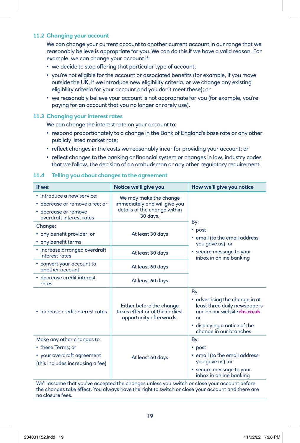#### **11.2 Changing your account**

 We can change your current account to another current account in our range that we reasonably believe is appropriate for you. We can do this if we have a valid reason. For example, we can change your account if:

- we decide to stop offering that particular type of account;
- you're not eligible for the account or associated benefits (for example, if you move outside the UK, if we introduce new eligibility criteria, or we change any existing eligibility criteria for your account and you don't meet these); or
- we reasonably believe your account is not appropriate for you (for example, you're paying for an account that you no longer or rarely use).

#### **11.3 Changing your interest rates**

We can change the interest rate on your account to:

- respond proportionately to a change in the Bank of England's base rate or any other publicly listed market rate;
- reflect changes in the costs we reasonably incur for providing your account; or
- reflect changes to the banking or financial system or changes in law, industry codes that we follow, the decision of an ombudsman or any other regulatory requirement.

#### **If we: Notice we'll give you how we'll give you notice** • introduce a new service; • decrease or remove a fee; or • decrease or remove overdraft interest rates We may make the change immediately and will give you details of the change within 30 days. By: • post • email (to the email address you gave us); or • secure message to your inbox in online banking Change: • any benefit provider; or • any benefit terms At least 30 days • increase arranged overdraft increase driving ed over druit and a At least 30 days • convert your account to another account and a property and account and  $\alpha$  and  $\alpha$  and  $\alpha$  and  $\alpha$  and  $\alpha$  and  $\alpha$  and  $\alpha$  and  $\alpha$  and  $\alpha$  and  $\alpha$  and  $\alpha$  and  $\alpha$  and  $\alpha$  and  $\alpha$  and  $\alpha$  and  $\alpha$  and  $\alpha$  and  $\alpha$  and  $\alpha$  and  $\alpha$ • decrease credit interest decrease creatumerest and a At least 60 days • increase credit interest rates Either before the change takes effect or at the earliest opportunity afterwards. By: • advertising the change in at least three daily newspapers and on our website **[rbs.co.uk](http://rbs.co.uk)**; or • displaying a notice of the change in our branches Make any other changes to: • these Terms; or • your overdraft agreement (this includes increasing a fee) At least 60 days By: • post • email (to the email address you gave us); or • secure message to your inbox in online banking

# **11.4 Telling you about changes to the agreement**

We'll assume that you've accepted the changes unless you switch or close your account before the changes take effect. You always have the right to switch or close your account and there are no closure fees.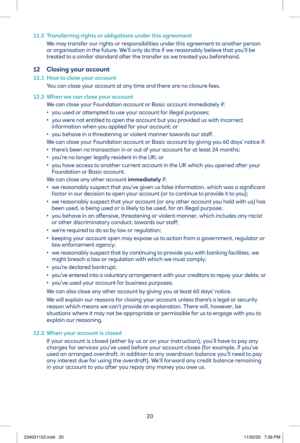#### **11.5 Transferring rights or obligations under this agreement**

 We may transfer our rights or responsibilities under this agreement to another person or organisation in the future. We'll only do this if we reasonably believe that you'll be treated to a similar standard after the transfer as we treated you beforehand.

#### **12 Closing your account**

#### **12.1 How to close your account**

You can close your account at any time and there are no closure fees.

#### **12.2 When we can close your account**

We can close your Foundation account or Basic account immediately if:

- you used or attempted to use your account for illegal purposes;
- you were not entitled to open the account but you provided us with incorrect information when you applied for your account; or
- you behave in a threatening or violent manner towards our staff.

We can close your Foundation account or Basic account by giving you 60 days' notice if:

- there's been no transaction in or out of your account for at least 24 months;
- you're no longer legally resident in the UK; or
- you have access to another current account in the UK which you opened after your Foundation or Basic account.

We can close any other account **immediately** if:

- we reasonably suspect that you've given us false information, which was a significant factor in our decision to open your account (or to continue to provide it to you);
- we reasonably suspect that your account (or any other account you hold with us) has been used, is being used or is likely to be used, for an illegal purpose;
- you behave in an offensive, threatening or violent manner, which includes any racist or other discriminatory conduct, towards our staff;
- we're required to do so by law or regulation;
- keeping your account open may expose us to action from a government, regulator or law enforcement agency;
- we reasonably suspect that by continuing to provide you with banking facilities, we might breach a law or regulation with which we must comply;
- you're declared bankrupt;
- you've entered into a voluntary arrangement with your creditors to repay your debts; or
- you've used your account for business purposes.

We can also close any other account by giving you at least 60 days' notice.

We will explain our reasons for closing your account unless there's a legal or security reason which means we can't provide an explanation. There will, however, be situations where it may not be appropriate or permissible for us to engage with you to explain our reasoning.

#### **12.3 When your account is closed**

 If your account is closed (either by us or on your instruction), you'll have to pay any charges for services you've used before your account closes (for example, if you've used an arranged overdraft, in addition to any overdrawn balance you'll need to pay any interest due for using the overdraft). We'll forward any credit balance remaining in your account to you after you repay any money you owe us.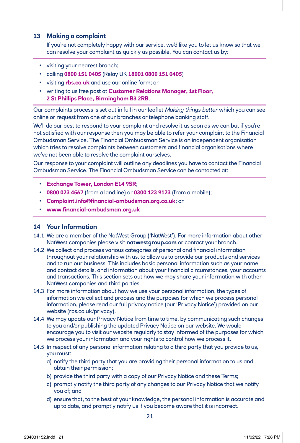# **13 Making a complaint**

 If you're not completely happy with our service, we'd like you to let us know so that we can resolve your complaint as quickly as possible. You can contact us by:

- visiting your nearest branch;
- calling **0800 151 0405** (Relay UK **18001 0800 151 0405**)
- visiting **[rbs.co.uk](http://rbs.co.uk)** and use our online form; or
- writing to us free post at **Customer Relations Manager, 1st Floor, 2 St Phillips Place, Birmingham B3 2RB**.

Our complaints process is set out in full in our leaflet *Making things better* which you can see online or request from one of our branches or telephone banking staff.

We'll do our best to respond to your complaint and resolve it as soon as we can but if you're not satisfied with our response then you may be able to refer your complaint to the Financial Ombudsman Service. The Financial Ombudsman Service is an independent organisation which tries to resolve complaints between customers and financial organisations where we've not been able to resolve the complaint ourselves.

Our response to your complaint will outline any deadlines you have to contact the Financial Ombudsman Service. The Financial Ombudsman Service can be contacted at:

- **Exchange Tower, London E14 9SR**;
- **0800 023 4567** (from a landline) or **0300 123 9123** (from a mobile);
- **[Complaint.info@financial-ombudsman.org.co.uk](mailto:Complaint.info%40financial-ombudsman.org.co.uk?subject=)**; or
- **[www.financial-ombudsman.org.uk](http://www.financial-ombudsman.org.uk)**

# **14 Your Information**

- 14.1 We are a member of the NatWest Group ('NatWest'). For more information about other NatWest companies please visit **[natwestgroup.com](http://natwestgroup.com)** or contact your branch.
- 14.2 We collect and process various categories of personal and financial information throughout your relationship with us, to allow us to provide our products and services and to run our business. This includes basic personal information such as your name and contact details, and information about your financial circumstances, your accounts and transactions. This section sets out how we may share your information with other NatWest companies and third parties.
- 14.3 For more information about how we use your personal information, the types of information we collect and process and the purposes for which we process personal information, please read our full privacy notice (our 'Privacy Notice') provided on our website [\(rbs.co.uk/privacy\)](http://rbs.co.uk/privacy).
- 14.4 We may update our Privacy Notice from time to time, by communicating such changes to you and/or publishing the updated Privacy Notice on our website. We would encourage you to visit our website regularly to stay informed of the purposes for which we process your information and your rights to control how we process it.
- 14.5 In respect of any personal information relating to a third party that you provide to us, you must:
	- a) notify the third party that you are providing their personal information to us and obtain their permission;
	- b) provide the third party with a copy of our Privacy Notice and these Terms;
	- c) promptly notify the third party of any changes to our Privacy Notice that we notify you of; and
	- d) ensure that, to the best of your knowledge, the personal information is accurate and up to date, and promptly notify us if you become aware that it is incorrect.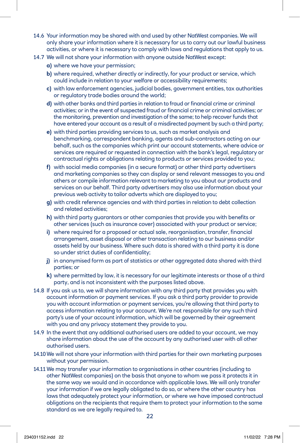- 14.6 Your information may be shared with and used by other NatWest companies. We will only share your information where it is necessary for us to carry out our lawful business activities, or where it is necessary to comply with laws and regulations that apply to us.
- 14.7 We will not share your information with anyone outside NatWest except:
	- **a)** where we have your permission;
	- **b)** where required, whether directly or indirectly, for your product or service, which could include in relation to your welfare or accessibility requirements;
	- **c)** with law enforcement agencies, judicial bodies, government entities, tax authorities or regulatory trade bodies around the world;
	- **d)** with other banks and third parties in relation to fraud or financial crime or criminal activities; or in the event of suspected fraud or financial crime or criminal activities; or the monitoring, prevention and investigation of the same; to help recover funds that have entered your account as a result of a misdirected payment by such a third party;
	- **e)** with third parties providing services to us, such as market analysis and benchmarking, correspondent banking, agents and sub-contractors acting on our behalf, such as the companies which print our account statements, where advice or services are required or requested in connection with the bank's legal, regulatory or contractual rights or obligations relating to products or services provided to you;
	- **f)** with social media companies (in a secure format) or other third party advertisers and marketing companies so they can display or send relevant messages to you and others or compile information relevant to marketing to you about our products and services on our behalf. Third party advertisers may also use information about your previous web activity to tailor adverts which are displayed to you;
	- **g)** with credit reference agencies and with third parties in relation to debt collection and related activities;
	- **h)** with third party guarantors or other companies that provide you with benefits or other services (such as insurance cover) associated with your product or service;
	- **i)** where required for a proposed or actual sale, reorganisation, transfer, financial arrangement, asset disposal or other transaction relating to our business and/or assets held by our business. Where such data is shared with a third party it is done so under strict duties of confidentiality;
	- **j)** in anonymised form as part of statistics or other aggregated data shared with third parties; or
	- **k)** where permitted by law, it is necessary for our legitimate interests or those of a third party, and is not inconsistent with the purposes listed above.
- 14.8 If you ask us to, we will share information with any third party that provides you with account information or payment services. If you ask a third party provider to provide you with account information or payment services, you're allowing that third party to access information relating to your account. We're not responsible for any such third party's use of your account information, which will be governed by their agreement with you and any privacy statement they provide to you.
- 14.9 In the event that any additional authorised users are added to your account, we may share information about the use of the account by any authorised user with all other authorised users.
- 14.10 We will not share your information with third parties for their own marketing purposes without your permission.
- 14.11 We may transfer your information to organisations in other countries (including to other NatWest companies) on the basis that anyone to whom we pass it protects it in the same way we would and in accordance with applicable laws. We will only transfer your information if we are legally obligated to do so, or where the other country has laws that adequately protect your information, or where we have imposed contractual obligations on the recipients that require them to protect your information to the same standard as we are legally required to.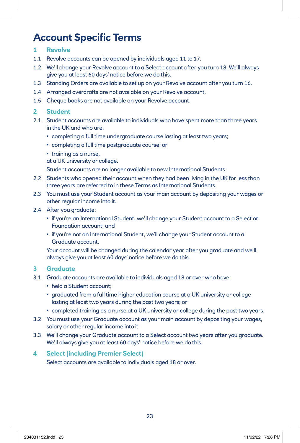# **Account Specific Terms**

# **1 Revolve**

- 1.1 Revolve accounts can be opened by individuals aged 11 to 17.
- 1.2 We'll change your Revolve account to a Select account after you turn 18. We'll always give you at least 60 days' notice before we do this.
- 1.3 Standing Orders are available to set up on your Revolve account after you turn 16.
- 1.4 Arranged overdrafts are not available on your Revolve account.
- 1.5 Cheque books are not available on your Revolve account.

# **2 Student**

- 2.1 Student accounts are available to individuals who have spent more than three years in the UK and who are:
	- completing a full time undergraduate course lasting at least two years;
	- completing a full time postgraduate course; or
	- training as a nurse,

at a UK university or college.

Student accounts are no longer available to new International Students.

- 2.2 Students who opened their account when they had been living in the UK for less than three years are referred to in these Terms as International Students.
- 2.3 You must use your Student account as your main account by depositing your wages or other regular income into it.
- 2.4 After you graduate:
	- if you're an International Student, we'll change your Student account to a Select or Foundation account; and
	- if you're not an International Student, we'll change your Student account to a Graduate account.

 Your account will be changed during the calendar year after you graduate and we'll always give you at least 60 days' notice before we do this.

# **3 Graduate**

- 3.1 Graduate accounts are available to individuals aged 18 or over who have:
	- held a Student account;
	- graduated from a full time higher education course at a UK university or college lasting at least two years during the past two years; or
	- completed training as a nurse at a UK university or college during the past two years.
- 3.2 You must use your Graduate account as your main account by depositing your wages, salary or other regular income into it.
- 3.3 We'll change your Graduate account to a Select account two years after you graduate. We'll always give you at least 60 days' notice before we do this.

# **4 Select (including Premier Select)**

Select accounts are available to individuals aged 18 or over.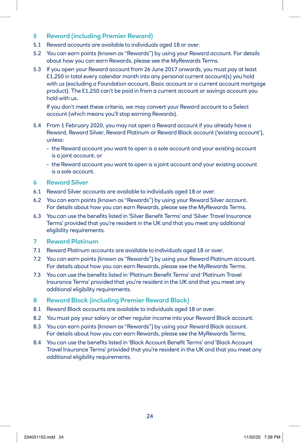# **5 Reward (including Premier Reward)**

- 5.1 Reward accounts are available to individuals aged 18 or over.
- 5.2 You can earn points (known as "Rewards") by using your Reward account. For details about how you can earn Rewards, please see the MyRewards Terms.
- 5.3 If you open your Reward account from 26 June 2017 onwards, you must pay at least £1,250 in total every calendar month into any personal current account(s) you hold with us (excluding a Foundation account, Basic account or a current account mortgage product). The £1,250 can't be paid in from a current account or savings account you hold with us.

 If you don't meet these criteria, we may convert your Reward account to a Select account (which means you'll stop earning Rewards).

- 5.4 From 1 February 2020, you may not open a Reward account if you already have a Reward, Reward Silver, Reward Platinum or Reward Black account ('existing account'), unless:
	- the Reward account you want to open is a sole account and your existing account is a joint account, or
	- the Reward account you want to open is a joint account and your existing account is a sole account.

# **6 Reward Silver**

- 6.1 Reward Silver accounts are available to individuals aged 18 or over.
- 6.2 You can earn points (known as "Rewards") by using your Reward Silver account. For details about how you can earn Rewards, please see the MyRewards Terms.
- 6.3 You can use the benefits listed in 'Silver Benefit Terms' and 'Silver Travel Insurance Terms' provided that you're resident in the UK and that you meet any additional eligibility requirements.

## **7 Reward Platinum**

- 7.1 Reward Platinum accounts are available to individuals aged 18 or over.
- 7.2 You can earn points (known as "Rewards") by using your Reward Platinum account. For details about how you can earn Rewards, please see the MyRewards Terms.
- 7.3 You can use the benefits listed in 'Platinum Benefit Terms' and 'Platinum Travel Insurance Terms' provided that you're resident in the UK and that you meet any additional eligibility requirements.

# **8 Reward Black (including Premier Reward Black)**

- 8.1 Reward Black accounts are available to individuals aged 18 or over.
- 8.2 You must pay your salary or other regular income into your Reward Black account.
- 8.3 You can earn points (known as "Rewards") by using your Reward Black account. For details about how you can earn Rewards, please see the MyRewards Terms.
- 8.4 You can use the benefits listed in 'Black Account Benefit Terms' and 'Black Account Travel Insurance Terms' provided that you're resident in the UK and that you meet any additional eligibility requirements.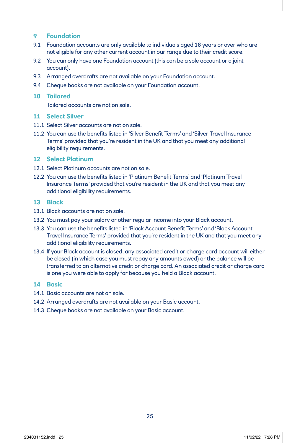# **9 Foundation**

- 9.1 Foundation accounts are only available to individuals aged 18 years or over who are not eligible for any other current account in our range due to their credit score.
- 9.2 You can only have one Foundation account (this can be a sole account or a joint account).
- 9.3 Arranged overdrafts are not available on your Foundation account.
- 9.4 Cheque books are not available on your Foundation account.

#### **10 Tailored**

Tailored accounts are not on sale.

## **11 Select Silver**

- 11.1 Select Silver accounts are not on sale.
- 11.2 You can use the benefits listed in 'Silver Benefit Terms' and 'Silver Travel Insurance Terms' provided that you're resident in the UK and that you meet any additional eligibility requirements.

# **12 Select Platinum**

- 12.1 Select Platinum accounts are not on sale.
- 12.2 You can use the benefits listed in 'Platinum Benefit Terms' and 'Platinum Travel Insurance Terms' provided that you're resident in the UK and that you meet any additional eligibility requirements.

#### **13 Black**

- 13.1 Black accounts are not on sale.
- 13.2 You must pay your salary or other regular income into your Black account.
- 13.3 You can use the benefits listed in 'Black Account Benefit Terms' and 'Black Account Travel Insurance Terms' provided that you're resident in the UK and that you meet any additional eligibility requirements.
- 13.4 If your Black account is closed, any associated credit or charge card account will either be closed (in which case you must repay any amounts owed) or the balance will be transferred to an alternative credit or charge card. An associated credit or charge card is one you were able to apply for because you held a Black account.

# **14 Basic**

- 14.1 Basic accounts are not on sale.
- 14.2 Arranged overdrafts are not available on your Basic account.
- 14.3 Cheque books are not available on your Basic account.